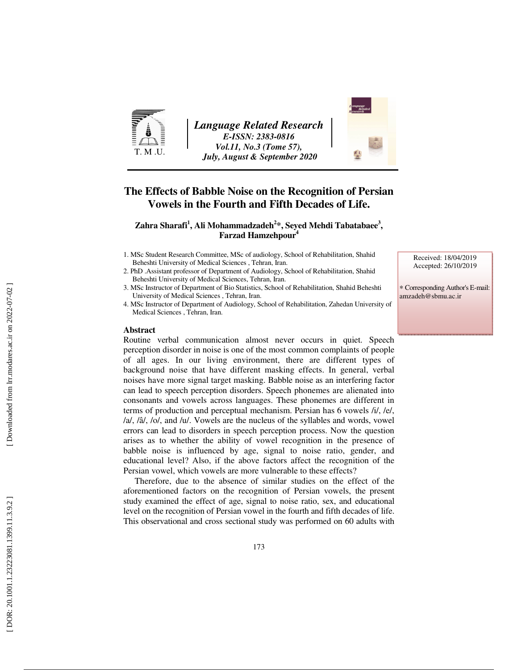

*Language Related Research E-ISSN: 2383-0816 Vol.11, No.3 (Tome 57), July, August & September 2020* 



# **The Effects of Babble Noise on the Recognition of Persian Vowels in the Fourth and Fifth Decades of Life.**

## **Zahra Sharafi 1 , Ali Mohammadzadeh 2 \*, Seyed Mehdi Tabatabaee 3 , Farzad Hamzehpour 4**

- 1. MSc Student Research Committee, MSc of audiology, School of Rehabilitation, Shahid Beheshti University of Medical Sciences , Tehran, Iran.
- 2. PhD .Assistant professor of Department of Audiology, School of Rehabilitation, Shahid Beheshti University of Medical Sciences, Tehran, Iran.
- 3. MSc Instructor of Department of Bio Statistics, School of Rehabilitation, Shahid Beheshti University of Medical Sciences , Tehran, Iran.
- 4. MSc Instructor of Department of Audiology, School of Rehabilitation, Zahedan University of Medical Sciences , Tehran, Iran.

#### **Abstract**

Routine verbal communication almost never occurs in quiet. Speech perception disorder in noise is one of the most common complaints of people of all ages. In our living environment, there are different types of background noise that have different masking effects. In general, verbal noises have more signal target masking. Babble noise as an interfering factor can lead to speech perception disorders. Speech phonemes are alienated into consonants and vowels across languages. These phonemes are different in terms of production and perceptual mechanism. Persian has 6 vowels /i/, /e/, /a/, /â/, /o/, and /u/. Vowels are the nucleus of the syllables and words, vowel errors can lead to disorders in speech perception process. Now the question arises as to whether the ability of vowel recognition in the presence of babble noise is influenced by age, signal to noise ratio, gender, and educational level? Also, if the above factors affect the recognition of the Persian vowel, which vowels are more vulnerable to these effects?

Therefore, due to the absence of similar studies on the effect of the aforementioned factors on the recognition of Persian vowels, the present study examined the effect of age, signal to noise ratio, sex, and educational level on the recognition of Persian vowel in the fourth and fifth decades of life. This observational and cross sectional study was performed on 60 adults with Received: 18/04/2019 Accepted: 26/10/2019

∗ Corresponding Author's E-mail: amzadeh@sbmu.ac.ir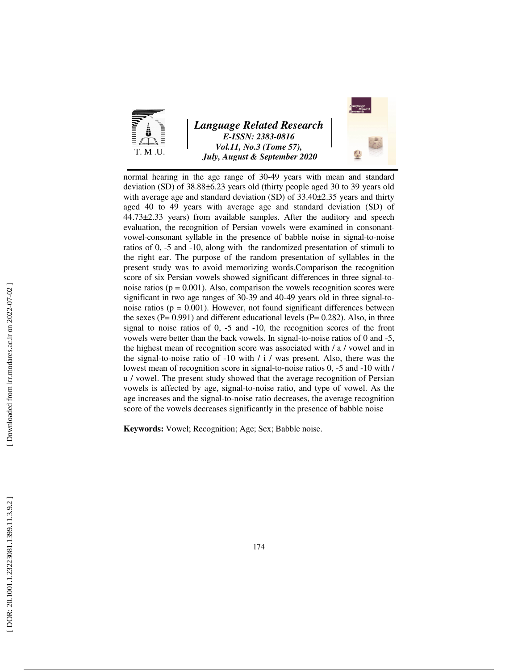

# *Language Related Research E-ISSN: 2383-0816 Vol.11, No.3 (Tome 57), July, August & September 2020*



normal hearing in the age range of 30-49 years with mean and standard deviation (SD) of 38.88±6.23 years old (thirty people aged 30 to 39 years old with average age and standard deviation (SD) of 33.40 $\pm$ 2.35 years and thirty aged 40 to 49 years with average age and standard deviation (SD) of 44.73±2.33 years) from available samples. After the auditory and speech evaluation, the recognition of Persian vowels were examined in consonantvowel-consonant syllable in the presence of babble noise in signal-to-noise ratios of 0, -5 and -10, along with the randomized presentation of stimuli to the right ear. The purpose of the random presentation of syllables in the present study was to avoid memorizing words.Comparison the recognition score of six Persian vowels showed significant differences in three signal-tonoise ratios ( $p = 0.001$ ). Also, comparison the vowels recognition scores were significant in two age ranges of 30-39 and 40-49 years old in three signal-tonoise ratios ( $p = 0.001$ ). However, not found significant differences between the sexes ( $P = 0.991$ ) and different educational levels ( $P = 0.282$ ). Also, in three signal to noise ratios of 0, -5 and -10, the recognition scores of the front vowels were better than the back vowels. In signal-to-noise ratios of 0 and -5, the highest mean of recognition score was associated with / a / vowel and in the signal-to-noise ratio of -10 with / i / was present. Also, there was the lowest mean of recognition score in signal-to-noise ratios 0, -5 and -10 with / u / vowel. The present study showed that the average recognition of Persian vowels is affected by age, signal-to-noise ratio, and type of vowel. As the age increases and the signal-to-noise ratio decreases, the average recognition score of the vowels decreases significantly in the presence of babble noise

**Keywords:** Vowel; Recognition; Age; Sex; Babble noise.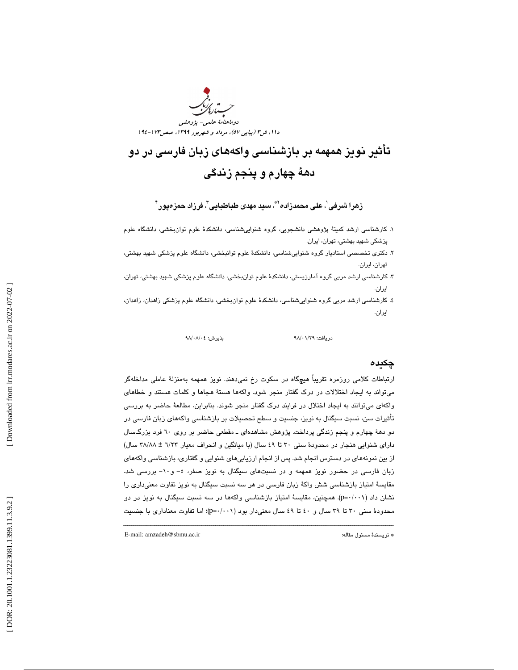

# تأثير نويز همهمه بر بازشناسي واكههاي زبان فارسي در دو دهة چهارم و پنجم زندگي

زهرا شرفی'، علی محمدزاده'<sup>ه</sup>ّ، سبد مهدی طباطبایی"، فرزاد حمزەپور<sup>"</sup>

- ۱. كارشناسي ارشد كميتۀ پژوهشي دانشجويي، گروه شنواييشناسي، دانشكدۀ علوم توان $\zeta$ بخشي، دانشگاه علوم پزشكي شهيد بهشتي، تهران، ايران.
- ۲. دكتری تخصصی استادیار گروه شنواییشناسی، دانشكدهٔ علوم توانبخشی، دانشگاه علوم پزشكی شهید بهشتی،<br>تهران، ایران.
- . 3 كارشناسي ارشد مربي گروه آمارزيستي، دانشكد ة علوم توانبخشي، دانشگاه علوم پزشكي شهيد بهشتي، تهران، ايران.
- . 4 كارشناسي ارشد مربي گروه شنو اييشناسي، دانشكد ة علوم توانبخشي، دانشگاه علوم پزشكي زاهدان، زاهدان، ايران.

دريافت: 29/ 01/ 98 پذيرش: 04/ 08/ 98

### چكيده

ارتباطات كلامي روزمره تقريباً هيچگاه در سكوت رخ نميدهند. نويز همهمه بهمنزلة عاملي مداخلهگر ميتواند به ايجاد اختلالات در درك گفتار منجر شود. واكهها هستة هجاها و كلمات هستند و خطاهاي واكهاي ميتوانند به ايجاد اختلال در فرايند درك گفتار منجر شوند. بنابراين، مطالعة حاضر به بررسي تأثيرات سن، نسبت سيگنال به نويز، جنسيت و سطح تحصيلات بر بازشناسي واكههاي زبان فارسي در دو دهة چهارم و پنجم زندگي پرداخت. پژوهش مشاهدهاي ـ مقطعي حاضر بر روي 60 فرد بزرگسال داراي شنوايي هنجار در محدودهٔ سني ٣٠ تا ٤٩ سال (با ميانگين و انحراف معيار ٦/٢٣ ± ٣٨/٨٨ سال) از بين نمونههاي در دسترس انجام شد. پس از انجام ارزيابي هاي شنوايي و گفتاري، بازشناسي واكههاي زبان فارسي در حضور نويز همهمه و در نسبتهاي سيگنال به نويز صفر، و - 5 - 10 بررسي شد. مقايسة امتياز بازشناسي شش واكة زبان فارسي در هر سه نسبت سيگنال به نويز تفاوت معنيداري را نشان داد (p=۰/۰۰۱). همچنین، مقایسهٔ امتیاز بازشناسی واکهها در سه نسبت سیگنال به نویز در دو محدودهٔ سنی ۳۰ تا ۳۹ سال و ٤٠ تا ٤٩ سال معنیدار بود (p=۰/۰۰۱)؛ اما تفاوت معناداری با جنسیت

ــــــــــــــــــــــــــــــــــــــــــــــــــــــــــــــــــــــــــــــــــــــــــــــــــــــــــــــــــــــــــــــــــــــــــ

E-mail: amzadeh@sbmu.ac.ir :مقاله مسئول نويسندة\*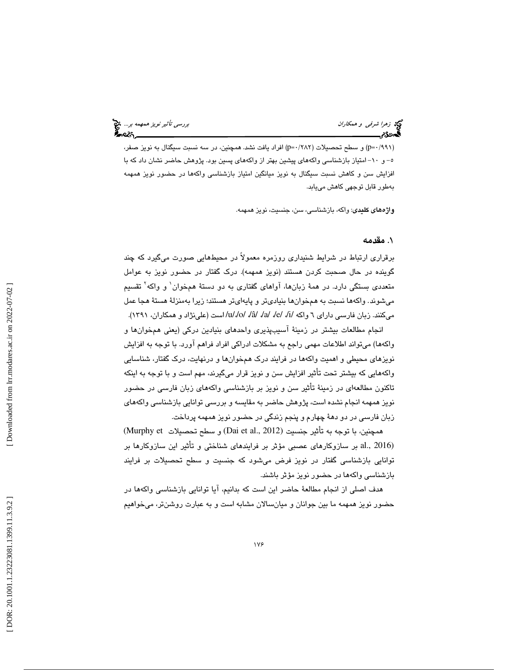تولى زهرا شر*فى و همكاران* بررسي تأثير *نويز همهمه بر...*. في تأثير *نويز همهمه بر...*. في تأثير نويز همهمه بر...<br>**المجموع م** 

(۹۹۱)۰=p) و سطح تحصیلات (۲۸۲/ -p) افراد یافت نشد. همچنین، در سه نسبت سیگنال به نویز صفر، و 5- - 10 امتياز بازشناسي وا كههاي پيشين بهتر از واكههاي پسين بود. پژوهش حاضر نشان داد كه با افزايش سن و كاهش نسبت سيگنال به نويز ميانگين امتياز بازشناسي واكهها در حضور نويز همهمه بهطور قابل توجهي كاهش مييابد.

واژههاي كليدي: واكه، بازشناسي، سن، جنسيت، نويز همهمه.

# . مقدمه 1

برقراري ارتباط در شرايط شنيداري روزمره معمولاً در محيطهايي صورت ميگيرد كه چند گوينده در حال صحبت كردن هستند (نويز همهمه). درك گفتار در حضور نويز به عوامل متعددي بستگي دارد. در همة زبانها، آواهاي گفتاري به دو دستة همخوان 1 و واكه 2 تقسيم ميشوند. واكهها نسبت به همخوانها بنياديتر و پايه ايتر هستند؛ زيرا بهمنزلة هستة هجا عمل میکنند. زبان فارسی دارای ٦ واکه /a/ /a/ /a/ /e/ /i/ /o/ /â/ /a/ است (علینژاد و همکاران، ١٣٩١).

انجام مطالعات بيشتر در زمينة آسيبپذيري واحدهاي بنيادين دركي (يعني همخوانها و واكه ها) ميتواند اطلاعات مهمي راجع به مشكلات ادراكي افراد فراهم آورد. با توجه به افزايش نويزهاي محيطي و اهميت واكهها در فرايند درك همخوانها و درنهايت، درك گفتار، شناسايي واكههايي كه بيشتر تحت تأثير افزايش سن و نويز قرار ميگيرند، مهم است و با توجه به اينكه تاكنون مطالعهاي در زمينة تأثير سن و نويز بر بازشناسي واكههاي زبان فارسي در حضور نويز همهمه انجام نشده است، پژوهش حاضر به مقايسه و بررسي توانايي بازشناسي واكههاي زبان فارسي در دو دهة چهارم و پنجم زندگي در حضور نويز همهمه پرداخت.

همچنين، با توجه به تأثير جنسيت (Dai et al., 2012) و سطح تحصيلات Murphy et) (2016 .,al بر سازوكارهاي عصبي مؤثر بر فرايندهاي شناختي و تأثير اين سازوكارها بر توانايي بازشناسي گفتار در نويز فرض ميشود كه جنسيت و سطح تحصيلات بر فرايند بازشناسي واكهها در حضور نويز مؤثر باشند.

هدف اصلي از انجام مطالعة حاضر اين است كه بدانيم، آيا توانايي بازشناسي واكهها در حضور نويز همهمه ما بين جوانان و ميانسالان مشابه است و به عبارت روشنتر، ميخواهيم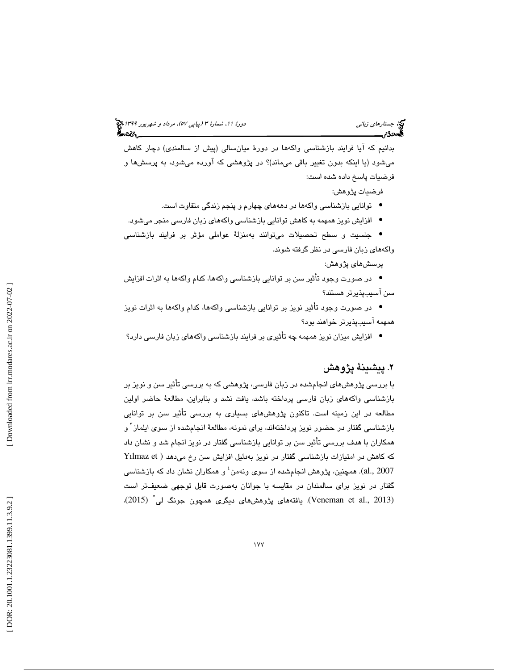بدانيم كه آيا فرايند بازشناسي واكهها در دورة ميانسالي (پيش از سالمندي) دچار كاهش ميشود (يا اينكه بدون تغيير باقي ميماند)؟ در پژوهشي كه آورده ميشود، به پرسشها و فرضيات پاسخ داده شده است:

فرضيات پژوهش:

توانايي بازشناسي واكهها در دهههاي چهارم و پنجم زندگي متفاوت است. •

افزايش نويز همهمه به كاهش توانايي بازشناسي واكههاي زبان فارسي منجر ميشود. •

جنسيت و سطح تحصيلات ميتوانند بهمنزلة عواملي مؤثر بر فرايند بازشناسي • واكههاي زبان فارسي در نظر گرفته شوند.

پرسشهاي پژوهش:

در صورت وجود تأثير سن بر توانايي بازشناسي واكهها، كدام واكهها به اثرات افزايش • سن آسيبپذيرتر هستند؟

در صورت وجود تأثير نويز بر توانايي بازشناسي واكهها، كدام واكهها به اثرات نويز • همهمه آسيبپذيرتر خواهند بود؟

افزايش ميزان نويز همهمه چه تأثيري بر فرايند بازشناسي واكههاي زبان فارسي دارد؟ •

# . 2 پيشينة پژوهش

با بررسي پژوهشهاي انجامشده در زبان فارسي، پژوهشي كه به بررسي تأثير سن و نويز بر بازشناسي واكههاي زبان فارسي پرداخته باشد، يافت نشد و بنابراين، مطالعة حاضر اولين مطالعه در اين زمينه است. تاكنون پژوهشهاي بسياري به بررسي تأثير سن بر توانايي بازشناسی گفتار در حضور نویز پرداختهاند، برای نمونه، مطالعهٔ انجامشده از سوی ایلماز<sup>۳</sup> و همكاران با هدف بررسي تأثير سن بر توانايي بازشناسي گفتار در نويز انجام شد و نشان داد Yılmaz et كه كاهش در امتيازات بازشناسي گفتار در نويز بهدليل افزايش سن رخ ميدهد ( al., 2007). همچنین، پژوهش انجامشده از سوی ونهمن ٔ و همکاران نشان داد که بازشناسی گفتار در نويز براي سالمندان در مقايسه با جوانان بهصورت قابل توجهي ضعيفتر است (Veneman et al., 2013). يافتههاي پژوهشهاي ديگري همچون جونگ لي<sup>°</sup> (2015)،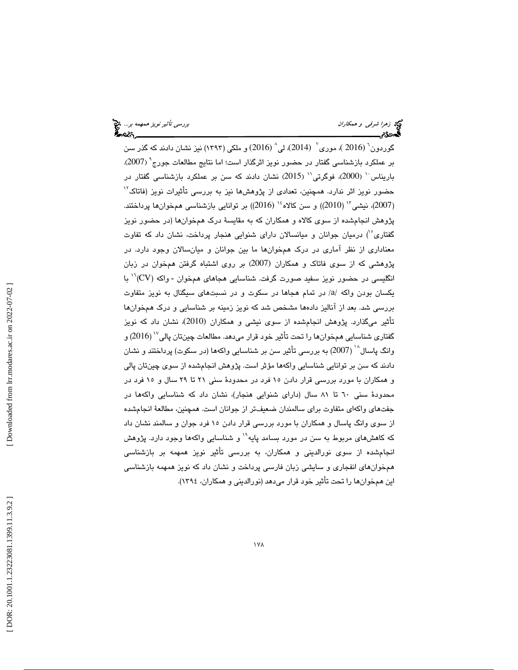گوردون<sup>۲</sup> (2016 )، موری<sup>۷</sup> (2014)، لی<sup>^</sup> (2016) و ملکی (۱۳۹۳) نیز نشان دادند که گذر سن بر عملکرد بازشناسی گفتار در حضور نویز اثرگذار است؛ اما نتایج مطالعات جورج<sup>ه</sup> (2007). باریناس ' (2000)، فوگرتی'' (2015) نشان دادند كه سن بر عملكرد بازشناسی گفتار در حضور نويز اثر ندارد. همچنين، تعدادی از پژوهشها نيز به بررسی تأثيرات نويز (فاتاک<sup>۱۲</sup> (2007)، نيشي<sup>۱٬</sup> (2010)) و سن كالاه<sup>۱٬</sup> (2016)) بر توانايي بازشناسي همخوانها پرداختند. پژوهش انجامشده از سوي كالاه و همكاران كه به مقايس ة درك همخوانها (در حضور نويز گفتاری°') درمیان جوانان و میانسالان دارای شنوایی هنجار پرداخت، نشان داد كه تفاوت معناداري از نظر آماري در درك همخوانها ما بين جوانان و ميانسالان وجود دارد. در پژوهشی كه از سوی فاتاك و همكاران (2007) بر روی اشتباه گرفتن همخوان در زبان انگليسي در حضور نويز سفيد صورت گرفت. شناسايي هجاهاي همخوان - واكه (CV)<sup>۱٬</sup> با یکسان بودن واکه /a/ در تمام هجاها در سکوت و در نسبتهای سیگنال به نویز متفاوت بررسي شد. بعد از آناليز دادهها مشخص شد كه نويز زمينه بر شناسايي و درك همخوانها تأثير ميگذارد. پژوهش انجام،ده از سوی نيشی و همكاران (2010)، نشان داد كه نويز گفتاري شناسايي هـمخوانها را تحت تأثير خود قرار مي،دهد. مطالعات چينتان پالي $^{^{(\prime)}}$ (2016) و وانگ پاسال^` (2007) به بررسی تأثیر سن بر شناسایی واکهها (در سکوت) پرداختند و نشان دادند كه سن بر توانايي شناسايي واكهها مؤثر است. پژوهش انجامشده از سوي چينتان پالي و همكاران با مورد بررسي قرار دادن 15 فرد در محدودة سني 21 تا 29 سال و 15 فرد در محدودة سني 60 تا 81 سال (داراي شنوايي هنجار)، نشان داد كه شناسايي واكهها در جفتهاي واكهاي متفاوت براي سالمندان ضعيفتر از جوانان است. همچنين، مطالعة انجامشده از سوي وانگ پاسال و همكاران با مورد بررسي قرار دادن 15 فرد جوان و سالمند نشان داد كه كاهشهای مربوط به سن در مورد بسامد پايه<sup>\۱</sup> و شناسايي واكهها وجود دارد. پژوهش انجامشده از سوي نورالديني و همكاران، به بررسي تأثير نويز همهمه بر بازشناسي همخوانهاي انفجاري و سايشي زبان فارسي پرداخت و نشان داد كه نويز همهمه بازشناسي اين همخوانها را تحت تأثير خود قرار ميدهد (نورالديني و همكاران، 1394 ).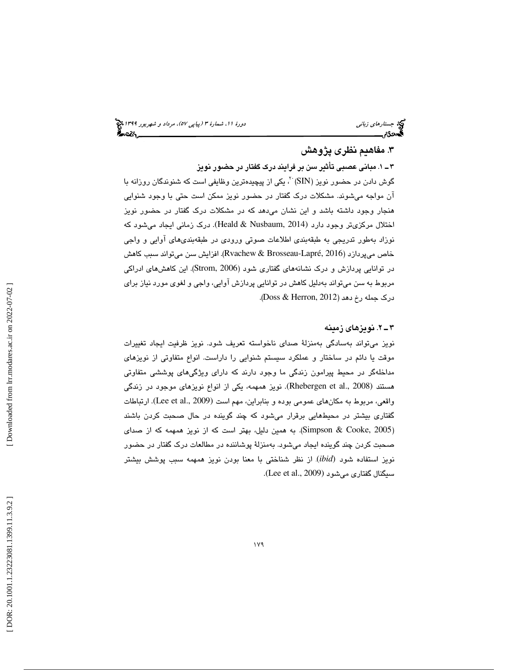## .3 مفاهيم نظري پژوهش

۳ ــ ۱. م**بانی عصبی تأثیر** س**ن بر فرایند درک گفتار در حضور نویز**<br>گوش دادن در حضور نویز (SIN) <sup>: ۲</sup>، یکی از پیچیدهترین وظایفی است که شنوندگان روزانه با آن مواجه ميشوند. مشكلات درك گفتار در حضور نويز ممكن است حتي با وجود شنوايي هنجار وجود داشته باشد و اين نشان ميدهد كه در مشكلات درك گفتار در حضور نويز اختلال مركزىتر وجود دارد (Heald & Nusbaum, 2014). درك زمانى ايجاد مىشود كه نوزاد بهطور تدريجي به طبقهبندي اطلاعات صوتي ورودي در طبقهبنديهاي آوايي و واجي خاص ميپردازد ( 2016 ,Lapré-Brosseau & Rvachew . (افزايش سن ميتواند سبب كاهش در توانایی پردازش و درک نشانههای گفتاری شود (Strom, 2006). این کاهشهای ادراکی مربوط به سن ميتواند بهدليل كاهش در توانايي پردازش آوايي، واجي و لغوي مورد نياز براي (. Doss & Herron, 2012 درك جمله رخ دهد (

### 2ـ 3 . نويزهاي زمينه

نويز ميتواند بهسادگي بهمنزلة صداي ناخواسته تعريف شود. نويز ظرفيت ايجاد تغييرات موقت يا دائم در ساختار و عملكرد سيستم شنوايي را داراست. انواع متفاوتي از نويزهاي مداخلهگر در محيط پيرامون زندگي ما وجود دارند كه داراي ويژگيهاي پوششي متفاوتي هستند (Rhebergen et al., 2008). نویز همهمه، یکی از انواع نویزهای موجود در زندگی واقعي، مربوط به مكانهاي عمومي بوده و بنابراين، مهم است (Lee et al., 2009). ارتباطات گفتاري بيشتر در محيطهايي برقرار ميشود كه چند گوينده در حال صحبت كردن باشند (Simpson & Cooke, 2005). به همین دلیل، بهتر است که از نویز همهمه که از صدای صحبت كردن چند گوينده ايجاد ميشود. بهمنزلة پوشاننده در مطالعات درك گفتار در حضور نويز استفاده شود (*ibid*) از نظر شناختی با معنا بودن نويز همهمه سبب پوشش بيشتر . (. Lee et al., 2009 سيگنال گفتاري ميشود (

 [\[ DOR: 20.1001.1.23223081.1399.11.3.9.2](https://dorl.net/dor/20.1001.1.23223081.1399.11.3.9.2) ] [\[ Downloaded from lrr.modares.ac.ir on 20](https://lrr.modares.ac.ir/article-14-30239-fa.html)22-07-02 ] Downloaded from lrr.modares.ac.ir on 2022-07-02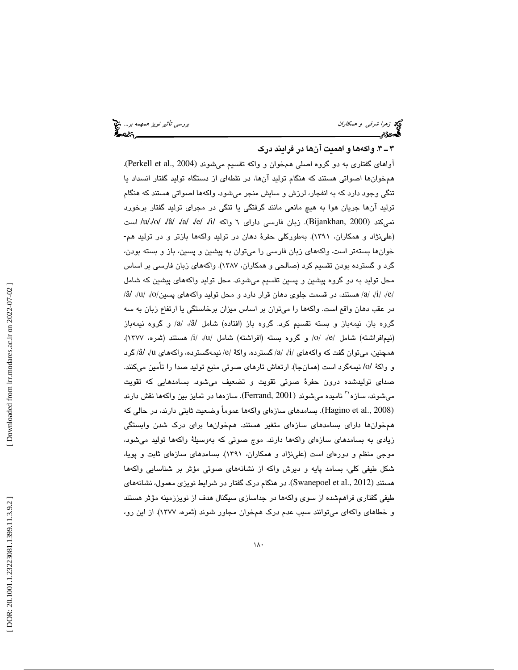زهرا شرفي و همكاران بررسي تأثير نويز همهمه بر...

## 3ـ 3 . واكهها و اهميت آنها در فرايند درك

 . (Perkell et al., 2004 آواهاي گفتاري به دو گروه اصلي همخوان و واكه تقسيم ميشوند ( همخوانها اصواتي هستند كه هنگام توليد آنها، در نقطهاي از دستگاه توليد گفتار انسداد يا تنگي وجود دارد كه به انفجار، لرزش و سايش منجر ميشود. واكهها اصواتي هستند كه هنگام توليد آنها جريان هوا به هيچ مانعي مانند گرفتگي يا تنگي در مجراي توليد گفتار برخورد نميكند (Bijankhan, 2000). زبان فارسمي داراي ٦ واكه /i/ /a/ /a/ /a/ /e/ /i/ است (علينژاد و همكاران، 1391). بهطوركلي حفرة دهان در توليد واكهها بازتر و در توليد هم- خوانها بستهتر است. واكههای زبان فارسی را میتوان به پیشین و پسین، باز و بسته بودن، گرد و گسترده بودن تقسیم كرد (صالحی و همكاران، ۱۳۸۷). واكههای زبان فارسی بر اساس محل توليد به دو گروه پيشين و پسين تقسيم ميشوند. محل توليد واكههاي پيشين كه شامل /a/ ./i/ ./e/ هستند، در قسمت جلوی دهان قرار دارد و محل تولید واکههای پسین/o/ /u/ ./o/ در عقب دهان واقع است. واكهها را ميتوان بر اساس ميزان برخاستگي يا ارتفاع زبان به سه گروه باز، نيمهباز و بسته تقسيم كرد. گروه باز (افتاده) شامل /â/ /a و گروه نيمهباز (نيمافراشته) شامل /e/ ،/e/ و گروه بسته (افراشته) شامل /u/ ،/i/ هستند (ثمره، ١٣٧٧). همچنین، میتوان گفت که واکههای /i/، /a/ گسترده، واکهٔ /e/ نیمهگسترده، واکههای l/، /â/ گرد و واكهٔ /o/ نيمهگرد است (همانجا). ارتعاش تارهای صوتی منبع تولید صدا را تأمین میكنند. صداي توليدشده درون حفرة صوتي تقويت و تضعيف ميشود. بسامدهايي كه تقويت ميشوند، سازه'`` ناميده ميشوند (Ferrand, 2001). سازهها در تمايز بين واكهها نقش دارند (Hagino et al., 2008). بسامدهاي سازهاي واكهها عموماً وضعيت ثابتي دارند، در حالي كه همخوانها داراي بسامدهاي سازهاي متغير هستند. همخوانها براي درك شدن وابستگي زيادي به بسامدهاي سازهاي واكهها دارند. موج صوتي كه بهوسيلة واكهها توليد ميشود، موجي منظم و دورهاي است (علينژاد و همكاران، 1391). بسامدهاي سازهاي ثابت و پويا، شكل طيفي كلي، بسامد پايه و ديرش واكه از نشانههاي صوتي مؤثر بر شناسايي واكهها هستند (Swanepoel et al., 2012). در هنگام درک گفتار در شرایط نویزی معمول، نشانههای طيفي گفتاري فراهمشده از سوي واكهها در جداسازي سيگنال هدف از نويززمينه مؤثر هستند و خطاهاي واكهاي ميتوانند سبب عدم درك همخوان مجاور شوند (ثمره، 1377 ). از اين رو،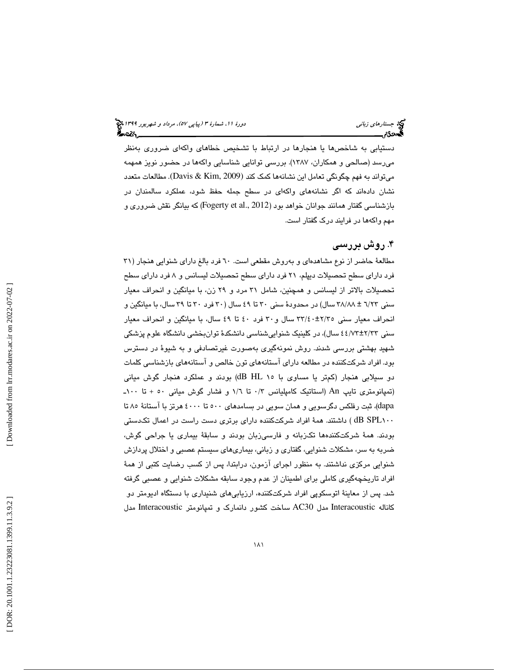دستيابي به شاخصها يا هنجارها در ارتباط با تشخيص خطاهاي واكهاي ضروري بهنظر ميرسد (صالحي و همكاران، ۱۳۸۷). بررسي توانايي شناسايي واكهها در حضور نويز همهمه میتواند به فهم چگونگی تعامل این نشانهها كمک كند (Davis & Kim, 2009). مطالعات متعدد نشان دادهاند كه اگر نشانههاي واكهاي در سطح جمله حفظ شود، عملكرد سالمندان در بازشناسي گفتار همانند جوانان خواهد بود (2012 ,Fogerty et al كه بيانگر نقش ضروري و مهم واكهها در فرايند درك گفتار است.

# . روش بررسي 4

مطالعهٔ حاضر از نوع مشاهدهاي و بهروش مقطعي است. ٦٠ فرد بالغ داراي شنوايي هنجار (٣١ فرد داراي سطح تحصيلات ديپلم، 21 فرد داراي سطح تحصيلات ليسانس و 8 فرد داراي سطح تحصيلات بالاتر از ليسانس و همچنين، شامل 31 مرد و 29 زن، با ميانگين و انحراف معيار سني 23/6 ± 88/ 38 سال) در محدود ة سني 30 تا 49 سال ( 30 فرد 30 تا 39 ،سال با ميانگين و انحراف معيار سني ٢٢/٤٠±٢٢/٢ سال و ٣٠ فرد ٤٠ تا ٤٩ سال، با ميانگين و انحراف معيار سنی ۲۳/۲±۶/۷۲ ، سال)، در كلینیک شنواییشناسی دانشکدهٔ توانبخشی دانشگاه علوم پزشکی شهيد بهشتي بررسي شدند. روش نمونهگيري بهصورت غيرتصادفي و به شيو ة در دسترس افراد شركتكننده در مطالعه داراي آستانههاي تون خالص و آستانههاي بازشناسي كلمات بود. دو سيلابي هنجار (كمتر يا مساوي با 15 HL dB (بودند و عملكرد هنجار گوش مياني (تمپانومتري تايپ An) استاتيك كامپليانس 3/0 تا 6/1 و فشار گوش مياني 50 + تا 100ـ dapa)، ثبت رفلكس دگرسويي و همان سويي در بسامدهاي ٥٠٠ تا ٤٠٠٠ هرتز با آستانهٔ ٨٥ تا 100SPL dB ( داشتند. همة افراد شركتكننده داراي برتري دست راست در اعمال تكدستي بودند. همهٔ شركتكنندهها تكزبانه و فارسيزبان بودند و سابقهٔ بیماری یا جراحی گوش، ضربه به سر، مشكلات شنوايي ، گفتاري و زباني، بيماريهاي سيستم عصبي و اختلال پردازش شنوايي مركزي نداشتند. به منظور اجراي آزمون ، درابتدا ، پس از كسب رضايت كتبي از هم ة افراد تاريخچهگيري كاملي براي اطمينان از عدم وجود سابقه مشكلات شنوايي و عصبي گرفته شد. پس از معاينهٔ اتوسكوپي افراد شركتكننده، ارزيابيهاي شنيداري با دستگاه اديومتر دو كاناله Interacoustic مدل 30AC ساخت كشور دانمارك و تمپانومتر Interacoustic مدل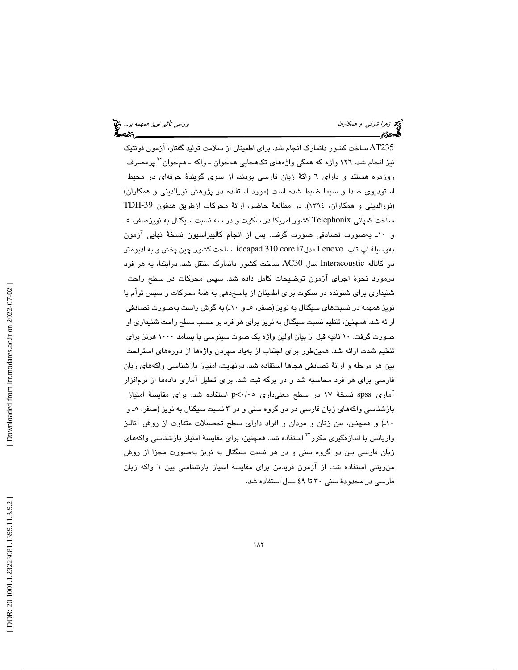235AT ساخت كشور دانمارك انجام .شد براي اطمينان از سلامت توليد گفتار، آزمون فونتيك نيز انجام شد. ١٢٦ واژه كه همگي واژههاي تكهجايي همخوان ـ واكه ـ همخوان `` پرمصرف روزمره هستند و دارای ٦ واكهٔ زبان فارسی بودند، از سوی گویندهٔ حرفهای در محیط استوديوی صدا و سيما ضبط شده است (مورد استفاده در پژوهش نورالديني و همكاران) (نورالديني و همكاران، ١٣٩٤). در مطالعة حاضر، ارائة محركات ازطريق هدفون TDH-39 ساخت كمپاني Telephonix كشور امريكا در سكوت و در سه نسبت سيگنال به نويزصفر، ـ 5 و ۱۰ـ بهصورت تصادفی صورت گرفت. پس از انجام کالیبراسیون نسخهٔ نهایی ازمون بهوسبلهٔ لپ تاب Lenovo مدل7ideapad 310 core ساخت کشور چین پخش و به ادیومتر دو كاناله Interacoustic مدل 30AC ساخت كشور دانمارك منتقل .شد درابتدا، به هر فرد درمورد نحوة اجراي آزمون توضيحات كامل داده شد. سپس محركات در سطح راحت شنیداری برای شنونده در سکوت برای اطمینان از پاسخدهی به همهٔ محرکات و سپس توام با نويز همهمه در نسبتهای سيگنال به نويز (صفر، ٥ـ و ١٠ـ) به گوش راست بهصورت تصادفی ارائه شد. همچنين، تنظيم نسبت سيگنال به نويز براي هر فرد بر حسب سطح راحت شنيداري او صورت گرفت. 10 ثانيه قبل از بيان اولين واژه يك صوت سينوسي با بسامد 1000 هرتز براي تنظيم شدت ارائه شد. همينطور براي اجتناب از بهياد سپردن واژهها از دورههاي استراحت بين هر مرحله و ارائهٔ تصادفی هجاها استفاده شد. درنهايت، امتياز بازشناسـي واكههای زبان فارسي براي هر فرد محاسبه شد و در برگه ثبت شد. براي تحليل آماري دادهها از نرمافزار آماری spss نسخهٔ ۱۷ در سطح معنیداری p<۰/۰۵ استفاده شد. برای مقایسهٔ امتیاز بازشناسی واکههای زبان فارسی در دو گروه سنی و در ۳ نسبت سیگنال به نویز (صفر، ٥ـ و 10 ـ) و همچنين، بين زنان و مردان و افراد داراي سطح تحصيلات متفاوت از روش آناليز واریانس با اندازهگیری مکرر <sup>۲۲</sup> استفاده شد. همچنین، برای مقایسهٔ امتیاز بازشناسی واکههای زبان فارسي بين دو گروه سني و در هر نسبت سيگنال به نويز بهصورت مجزا از روش منويتني استفاده شد. از آزمون فريدمن براي مقايسهٔ امتياز بازشناسي بين ٦ واكه زبان فارسي در محدودة سني 30 تا 49 سال استفاده شد .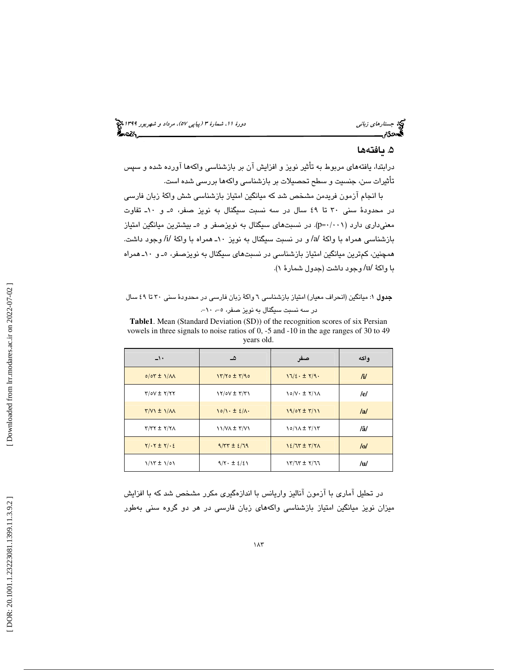جستارها*ي زباني (هي دورة 1199) ويور 1399) ويور* 11، شمارة ٣ (پياپي ٥٧)، مرد*اد و شهريور 1*391 م

# ۵. يافتهها

درابتدا، يافتههاي مربوط به تأثير نويز و افزايش آن بر بازشناسي واكهها آورده شده و سپس تأثيرات سن، جنسيت و سطح تحصيلات بر بازشناسي واكهها بررسي شده است.

با انجام آزمون فريدمن مشخص شد كه ميانگين امتياز بازشناسي شش واكة زبان فارسي در محدودهٔ سنی ۳۰ تا ٤٩ سال در سه نسبت سیگنال به نویز صفر، ٥ـ و ۱۰ـ تفاوت معنیداری دارد (p=·/·۰۱). در نسبتهای سیگنال به نویزصفر و ٥ـ بیشترین میانگین امتیاز بازشناسي همراه با واكة /a/ و در نسبت سيگنال به نويز 10ـ همراه با واكة /i/ وجود داشت. همچنين، كمترين ميانگين امتياز بازشناسي در نسبتهای سيگنال به نويزصفر، ٥ـ و ١٠ـ همراه با واكة /u/ وجود داشت (جدول شمارة )1.

## جدول 1: ميانگين (انحراف معيار) امتياز بازشناسي 6 واكة زبان فارسي در محدودة سني 30 تا 49 سال در سه نسبت سيگنال به نويز صفر، ٥-، ٦٠-.

**Table1**. Mean (Standard Deviation (SD)) of the recognition scores of six Persian vowels in three signals to noise ratios of 0, -5 and -10 in the age ranges of 30 to 49 years old.

| $\rightarrow$             | ھ                                  | صفر                           | واكه             |
|---------------------------|------------------------------------|-------------------------------|------------------|
| $0/07 \pm 1/M$            | $17/70 \pm 7/90$                   | $17/\epsilon \cdot \pm 7/9$   | $\mathbf{h}$     |
| $Y/OV \pm Y/Y$            | $\frac{1}{\sqrt{2}}$               | $\sqrt{\sqrt{1-\frac{1}{2}}}$ | /e/              |
| $Y/V1 \pm 1/M$            | $\ln(\pi + \pm \epsilon)/\sqrt{2}$ | $19/07 \pm 7/11$              | $\overline{a}$   |
| $Y/YY \pm Y/Y$            | $11/N\lambda \pm 7/V1$             | $10/N + T/17$                 | /â/              |
| $Y/\cdot Y \pm Y/\cdot E$ | $9/77 \pm 2/79$                    | $12/77 \pm 7/7$               | $\overline{101}$ |
| $1/17 \pm 1/01$           | $9/7. \pm 2/2$                     | $17/77 \pm 7/77$              | /u/              |

در تحليل آماري با آزمون آناليز واريانس با اندازهگيري مكرر مشخص شد كه با افزايش ميزان نويز ميانگين امتياز بازشناسي واكههاي زبان فارسي در هر دو گروه سني بهطور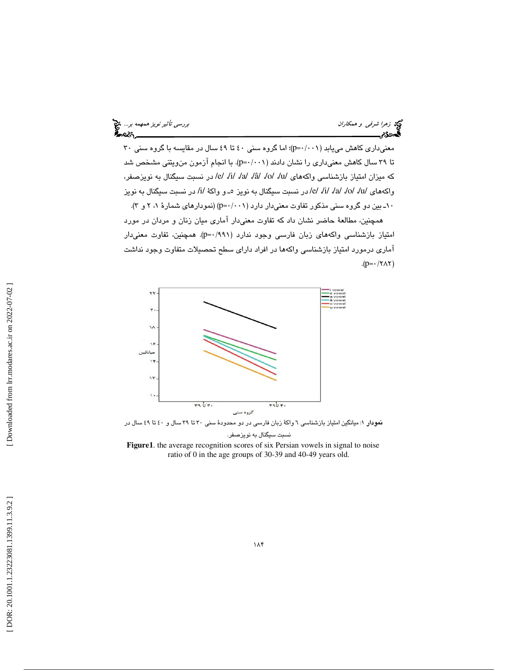رسي تأثير نويز همهمه بر... لاي تحت المستخدم العالمية بررسي تأثير نويز همهمه بر... لاي تحت المستخدم بررسي تأثير نويز همهمه بر...<br>**المستخدم بررسي تشخيص** 

معنيداري كاهش مي يابد (p=·/··۱)؛ اما گروه سني ٤٠ تا ٤٩ سال در مقايسه با گروه سني ٣٠ تا ۳۹ سال كاهش معنىدارى را نشان دادند (p=۰/۰۰۱). با انجام آزمون منويتني مشخص شد که میزان امتیاز بازشناسی واکههای /u/ /a/ /â/ /a/ /â/ /o/ /u/ .صبت سیگنال به نویزصفر، واكههای /u/ /a/ /o/ /u/ /در نسبت سیگنال به نویز ٥ــ و واكهٔ /i/ در نسبت سیگنال به نویز ۰۱-بین دو گروه سنی مذکور تفاوت معنیدار دارد (p=۰/۰۰۱) (نمودارهای شمارهٔ ۲، ۲ و ۳). همچنين، مطالعة حاضر نشان داد كه تفاوت م عنيدار آماري ميان زنان و مردان در مورد امتياز بازشناسي واكههاي زبان فارسي وجود ندارد (٩٩١/-p=٠). همچنين، تفاوت معنىدار آماري درمورد امتياز بازشناسي واكهها در افراد داراي سطح تحصيلات متفاوت وجود نداشت

 $(p= \cdot / \text{YAY})$ 



نسبت سيگنال به نويزصفر.

**Figure1**. the average recognition scores of six Persian vowels in signal to noise ratio of 0 in the age groups of 30-39 and 40-49 years old.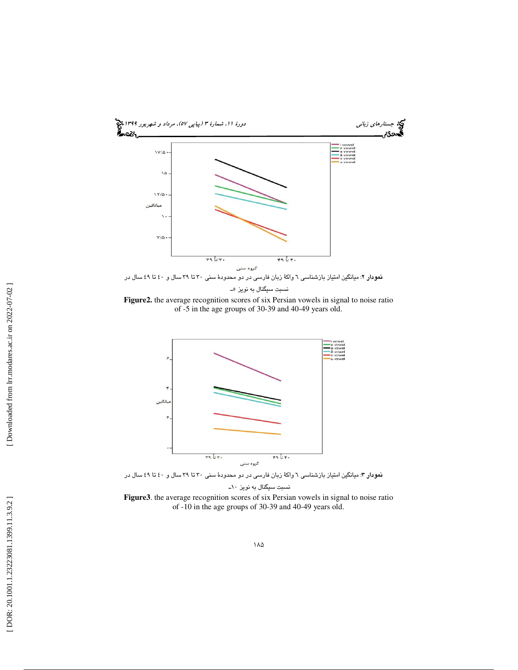

**Figure2.** the average recognition scores of six Persian vowels in signal to noise ratio of -5 in the age groups of 30-39 and 40-49 years old.



نمودار ٣: ميانگين امتياز بازشناسي ٦ واكهٔ زبان فارسي در دو محدودهٔ سني ٣٠ تا ٣٩ سال و ٤٠ تا ٤٩ سال در نسبت سيگنال به نويز ١٠-

**Figure3**. the average recognition scores of six Persian vowels in signal to noise ratio of -10 in the age groups of 30-39 and 40-49 years old.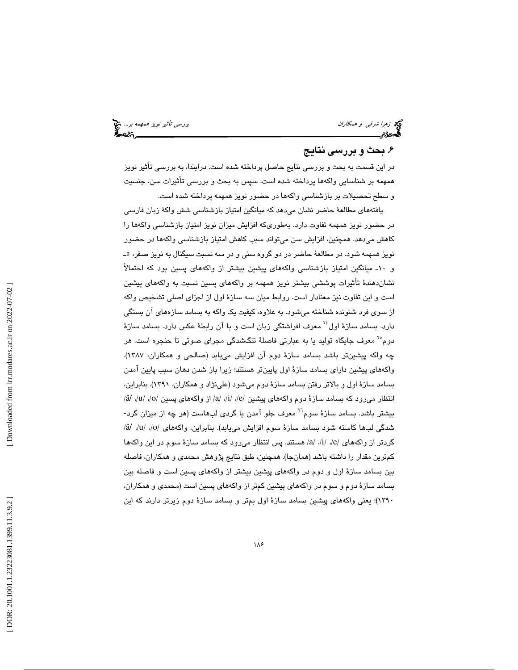توجه ز*هرا شرفي و همكاران بررسي تأثير نويز همهمه بر..*. فيخ<br>**بررسي تأثير نويز همهمه بر... فيخ**<br>**بهمودی بررسي تاثير الله بررسي تأثير نويز همهم بررسي تأثير نويز همهمه بر... فيخ** 

# . بحث و بررسي نتايج 6

در اين قسمت به بحث و بررسي نتايج حاصل پرداخته شده است. درابتدا، به بررسي تأثير نويز همهمه بر شناسايي واكهها پرداخته شده است. سپس به بحث و بررسي تأثيرات سن، جنسيت و سطح تحصيلات بر بازشناسي واكهها در حضور نويز همهمه پرداخته شده است.

يافتههاي مطالعة حاضر نشان ميدهد كه ميانگين امتياز بازشناسي شش واكة زبان فارسي در حضور نويز همهمه تفاوت دارد. بهطوريكه افزايش ميزان نويز امتياز بازشناسي واكهها را كاهش ميدهد. همچنين، افزايش سن ميتواند سبب كاهش امتياز بازشناسي واكهها در حضور نويز همهمه شود. در مطالعهٔ حاضر در دو گروه سنی و در سه نسبت سيگنال به نويز صفر، ٥ـ و 10ـ ميانگين امتياز بازشناسي واكههاي پيشين بيشتر از واكههاي پسين بود كه احتمالاً نشاندهندة تأثيرات پوششي بيشتر نويز همهمه بر واكههاي پسين نسبت به واكههاي پيشين است و اين تفاوت نيز معنادار است. روابط ميان سه سازة اول از اجزاي اصلي تشخيص واكه از سوي فرد شنونده شناخته ميشود. به علاوه، كيفيت يك واكه به بسامد سازههاي آن بستگي دارد. بسامد سازهٔ اول<sup>۲٤</sup> معرف افراشتگي زبان است و با آن رابطهٔ عكس دارد. بسامد سازهٔ دوم<sup>۲۰</sup> معرف جايگاه توليد يا به عبارتي فاصلهٔ تنگشدگي مجرای صوتی تا حنجره است. هر چه واكه پيشينتر باشد بسامد سازهٔ دوم ان افزايش مىيابد (صالحى و همكاران، ۱۳۸۷). واكههاي پيشين داراي بسامد سازة اول پايينتر هستند؛ زيرا باز شدن دهان سبب پايين آمدن بسامد سازة اول و بالاتر رفتن بسامد سازة دوم ميشود (علينژاد و همكاران، 1391). بنابراين، انتظار میرود که بسامد سازهٔ دوم واکههای پیشین /e/ ،/i/ ،/e/ از واکههای پسین /o/ ،/a/ ،/a/ بیشتر باشد. بسامد سازهٔ سوم<sup>۲</sup>` معرف جلو آمدن یا گردی لبهاست (هر چه از میزان گرد-شدگي لبها كاسته شود بسامد سازهٔ سوم افزايش مييابد). بنابراين، واكههاي /٥/، /a/، /â/ گردتر از واكهها*ی |e، |i، |a| هس*تند. پس انتظار مىرود كه بسامد سازهٔ سوم در این واكهها كمترين مقدار را داشته باشد (همانجا). همچنين، طبق نتايج پژوهش محمدي و همكاران، فاصله بين بسامد سازة اول و دوم در واكههاي پيشين بيشتر از واكههاي پسين است و فاصله بين بسامد سازة دوم و سوم در واكههاي پيشين كمتر از واكههاي پسين است (محمد ي و همكاران، 1390)؛ يعني واكههاي پيشين بسامد سازة اول بمتر و بسامد سازة دوم زيرتر دارند كه اين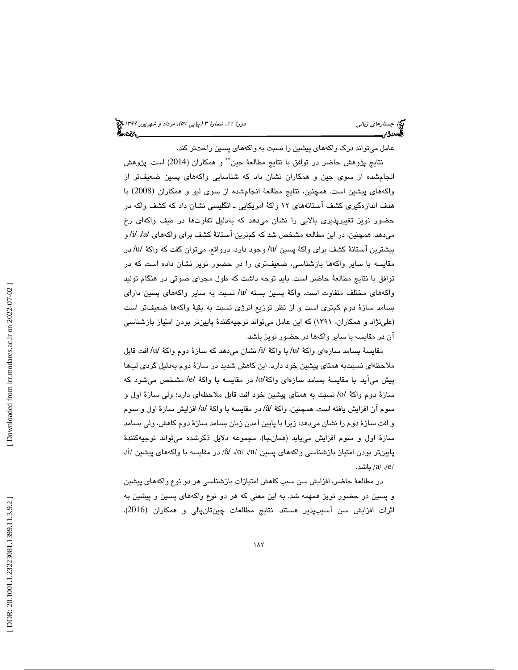عامل ميتواند درك واكههاي پيشين را نسبت به واكههاي پسين راحتتر كند.

نتايج پژوهش حاضر در توافق با نتايج مطالعهٔ جين'' و همکاران (2014) است. پژوهش انجامشده از سوي جين و همكاران نشان داد كه شناسايي واكههاي پسين ضعيفتر از واكههاي پيشين است. همچنين، نتايج مطالعهٔ انجامشده از سوی ليو و همكاران (2008) با هدف اندازهگيري كشف آستانههاي 12 واكة امريكايي ـ انگليسي نشان داد كه كشف واكه در حضور نويز تغييرپذيري بالايي را نشان ميدهد كه بهدليل تفاوتها در طيف واكهاي رخ ميدهد. همچنين، در اين مطالعه مشخص شد كه كمترين آستانهٔ كشف براي واكههاي /a/ ، /i/ و بيشترين آستانة كشف براي واكة پسين /u/ وجود دارد. درواقع، ميتوان گفت كه واكة /u/ در مقايسه با ساير واكهها بازشناسي، ضعيفتري را در حضور نويز نشان داده است كه در توافق با نتايج مطالعة حاضر است. بايد توجه داشت كه طول مجراي صوتي در هنگام توليد واكههاي مختلف متفاوت است. واكة پسين بسته /u/ نسبت به ساير واكههاي پسين داراي بسامد سازة دوم كمتري است و از نظر توزيع انرژي نسبت به بقية واكهها ضعيفتر است (علينژاد و همكاران، 1391) كه اين عامل ميتواند توجيهكنندة پايينتر بودن امتياز بازشناسي آن در مقايسه با ساير واكهها در حضور نويز باشد.

مقايسة بسامد سازهاي واكة /u/ با واكة /i/ نشان ميدهد كه سازة دوم واكة /u/ افت قابل ملاحظهاي نسبتبه همتاي پيشين خود دارد. اين كاهش شديد در سازة دوم بهدليل گردي لبها پيش ميآيد. با مقايسة بسامد سازهاي واكة/o/ در مقايسه با واكة /e/ مشخص ميشود كه سازة دوم واكة /o/ نسبت به همتاي پيشين خود افت قابل ملاحظهاي دارد؛ ولي سازة اول و سوم آن افزايش يافته است. همچنين، واكة /â/ در مقايسه با واكة /a/ افزايش سازة اول و سوم و افت سازة دوم را نشان ميدهد؛ زيرا با پايين آمدن زبان بسامد سازة دوم كاهش، ولي بسامد سازة اول و سوم افزايش مييابد (همانجا). مجموعه دلايل ذكرشده ميتواند توجيهكنندة پايينتر بودن امتياز بازشناسي واكههاي پسين /a/ ،/o/ ،/u/ هز مقايسه با واكههاي پيشين /i/، / باشد. a/ ،/ e /

در مطالعة حاضر، افزايش سن سبب كاهش امتيازات بازشناسي هر دو نوع واكههاي پيشين و پسين در حضور نويز همهمه شد. به اين معني كه هر دو نوع واكههاي پسين و پيشين به اثرات افزايش سن آسيبپذير هستند. نتايج مطالعات چينتانپالی و همكاران (2016)،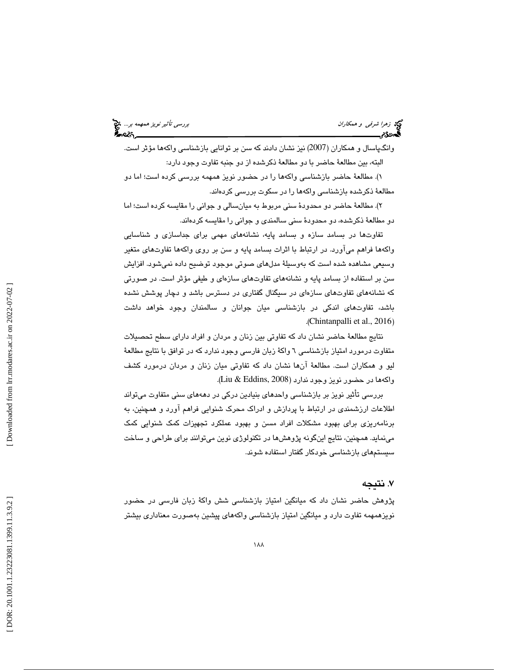زهرا شر*في و همكاران بررسي تأثير نويز همهمه بر...*<br>المجموع<br>**المجموع بررسي تاثير المجموع بررسي تأثير من المجموع بررسي تأثير نويز همهمه بر... المجموع المجموع المجموع** 

وانگپاسال و همکاران (2007) نیز نشان دادند که سن بر توانایی بازشناسی واکهها مؤثر است. البته، بين مطالعة حاضر با دو مطالعة ذكرشده از دو جنبه تفاوت وجود دارد:

). مطالعة حاضر بازشناسي واكهها را در حضور نويز همهمه بررسي كرده است؛ اما دو 1 مطالعة ذكرشده بازشناسي واكهها را در سكوت بررسي كردهاند.

). مطالعة حاضر دو محدودة سني مربوط به ميانسالي و جواني را مقايسه كرده است؛ اما 2 دو مطالعة ذكرشده، دو محدودة سني سالمندي و جواني را مقايسه كردهاند.

تفاوتها در بسامد سازه و بسامد پايه، نشانههاي مهمي براي جداسازي و شناسايي واكهها فراهم ميآورد. در ارتباط با اثرات بسامد پايه و سن بر روي واكهها تفاوتهاي متغير وسيعي مشاهده شده است كه بهوسيلة مدلهاي صوتي موجود توضيح داده نميشود. افزايش سن بر استفاده از بسامد پايه و نشانههاي تفاوتهاي سازهاي و طيفي مؤثر است. در صورتي كه نشانههاي تفاوتهاي سازه اي در سيگنال گفتاري در دسترس باشد و دچار پوشش نشده باشد، تفاوتهاي اندكي در بازشناسي ميان جوانان و سالمندان وجود خواهد داشت (. Chintanpalli et al., 2016 )

نتايج مطالعهٔ حاضر نشان داد كه تفاوتي بين زنان و مردان و افراد داراي سطح تحصيلات متفاوت درمورد امتياز بازشناسي 6 واكة زبان فارسي وجود ندارد كه در توافق با نتايج مطالعة ليو و همكاران است. مطالعة آنها نشان داد كه تفاوتي ميان زنان و مردان درمورد كشف (. Liu & Eddins, 2008 واكهها در حضور نويز وجود ندارد (

بررسی تأثیر نویز بر بازشناسی واحدهای بنیادین درکی در دهههای سنی متفاوت میتواند اطلاعات ارزشمندي در ارتباط با پردازش و ادراك محرك شنوايي فراهم آورد و همچنين، به برنامهريزي براي بهبود مشكلات افراد مسن و بهبود عملكرد تجهيزات كمك شنوايي كمك مينمايد. همچنين، نتايج اينگونه پژوهشها در تكنولوژي نوين ميتوانند براي طراحي و ساخت سيستمهاي بازشناسي خودكار گفتار استفاده شوند.

## . نتيجه 7

پژوهش حاضر نشان داد كه ميانگين امتياز بازشناسي شش واكة زبان فارسي در حضور نويزهمهمه تفاوت دارد و ميانگين امتياز بازشناسي واكههاي پيشين بهصورت معناداري بيشتر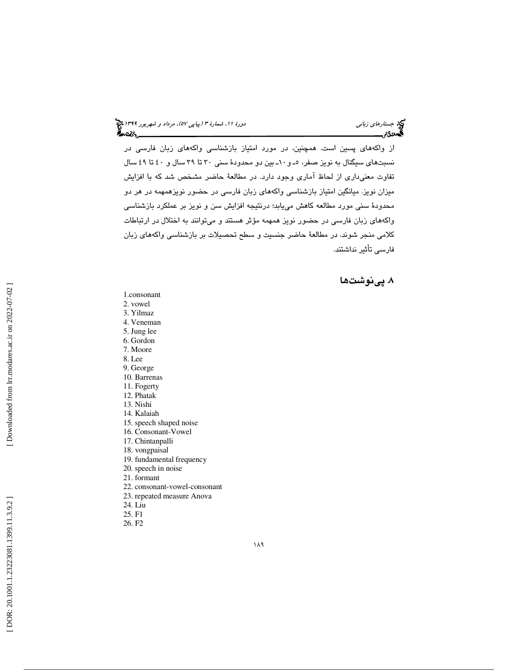از واكههاي پسين است. همچنين، در مورد امتياز بازشناسي واكههاي زبان فارسي در نسبتهای سیگنال به نویز صفر، ٥ـ و ١٠ـ بین دو محدودهٔ سنی ٣٠ تا ٢٩ سال و ٤٠ تا ٤٩ سال تفاوت معنيداري از لحاظ آماري وجود دارد. در مطالعة حاضر مشخص شد كه با افزايش میزان نویز. میانگین امتیاز بازشناسی واکههای زبان فارسی در حضور نویزهمهمه در هر دو محدودة سني مورد مطالعه كاهش مييابد؛ درنتيجه افزايش سن و نويز بر عملكرد بازشناسي واكههاي زبان فارسي در حضور نويز همهمه مؤثر هستند و ميتوانند به اختلال در ارتباطات كلامي منجر شوند. در مطالعة حاضر جنسيت و سطح تحصيلات بر بازشناسي واكههاي زبان فارسي تأثير نداشتند.

. 8 پينوشت ها

- 1.consonant
- 2. vowel
- 3. Yilmaz
- 4. Veneman
- 5. Jung lee
- 6. Gordon
- 7. Moore
- 8. Lee
- 9. George
- 10. Barrenas
- 11. Fogerty
- 12. Phatak
- 13. Nishi
- 14. Kalaiah
- 15. speech shaped noise
- 16. Consonant-Vowel
- 17. Chintanpalli
- 18. vongpaisal
- 19. fundamental frequency
- 20. speech in noise
- 21. formant
- 22. consonant-vowel-consonant
- 23. repeated measure Anova
- 24. Liu
- 25. F1
- 26. F2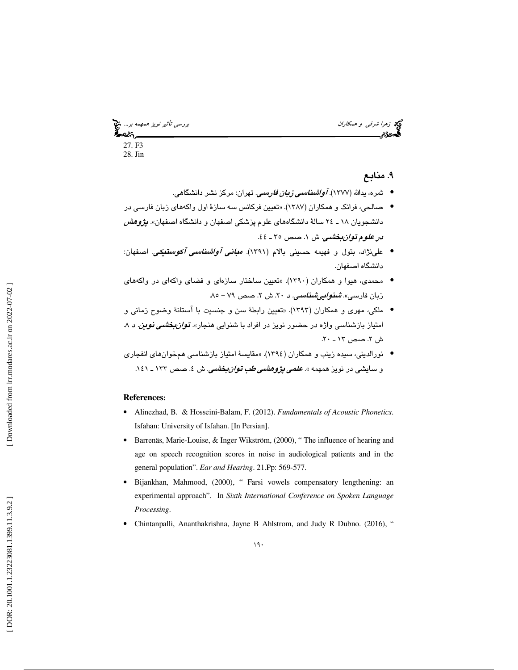توجه ز*هرا شرفي و همكاران بررسي تأثير نويز همهمه بر...*. تتج<br>ال**مصرى تأثير نويز همهمه بر... تقويت المحصر المحصول المحصول المحصول المحصول المحصول المحصول المحصول المحصول ال**<br>ا**لمحصول المحصول المحصول المحصول المحصول المحصول** 27. F3 28. Jin

## ۹. منابع

- ثمره، يدالله (١٣٧٧). *آواشناسي زبان فارسي.* تهران: مركز نشر دانشگاهي.
- صالحي، فرانك و همكاران (1387). «تعيين فركانس سه سازة اول واكههاي زبان فارسي در دانشجويان ١٨ ـ ٢٤ سالهٔ دانشگاههاي علوم پزشكي اصفهان و دانشگاه اصفهان». *پژوهش* در علوم تو*ان بخشي.* ش ١. صص ٣٥ ـ ٤٤.
- علی:ژاد، بتول و فهیمه حسینی بالام (۱۳۹۱)*. مبانی آواشناسی آکوستیکی.* اصفهان: دانشگاه اصفهان.
- محمدي، هيوا و همكاران (1390). «تعيين ساختار سازهاي و فضاي واكهاي در واكههاي زبان فارسی». *شُنواییشناسی. د ۲۰*. ش ۲. صص ۷۹ – ۸۵.
- ملكي، مهري و همكاران (1393). «تعيين رابطة سن و جنسيت با آستانة وضوح زماني و امتياز بازشناسي واژه در حضور نويز در افراد با شنوايي هنجار». *توان بخشي نوين.* د ۸.  $2.7 - 17$ . صص ١٣ ـ ٢٠.
- نورالديني، سيده زينب و همكاران (١٣٩٤). «مقايسة امتياز بازشناسي همخوان هاي انفجاري و سایشی در نویز همهمه ». *علم<i>ی پژوهشی طب توان بخشی***.** ش ٤. صص ١٣٣ ـ ١٤١.

#### **References:**

- Alinezhad, B. & Hosseini-Balam, F. (2012). *Fundamentals of Acoustic Phonetics*. Isfahan: University of Isfahan. [In Persian].
- Barrenäs, Marie-Louise, & Inger Wikström, (2000), " The influence of hearing and age on speech recognition scores in noise in audiological patients and in the general population". *Ear and Hearing*. 21.Pp: 569-577.
- Bijankhan, Mahmood, (2000), " Farsi vowels compensatory lengthening: an experimental approach". In *Sixth International Conference on Spoken Language Processing*.
- Chintanpalli, Ananthakrishna, Jayne B Ahlstrom, and Judy R Dubno. (2016), "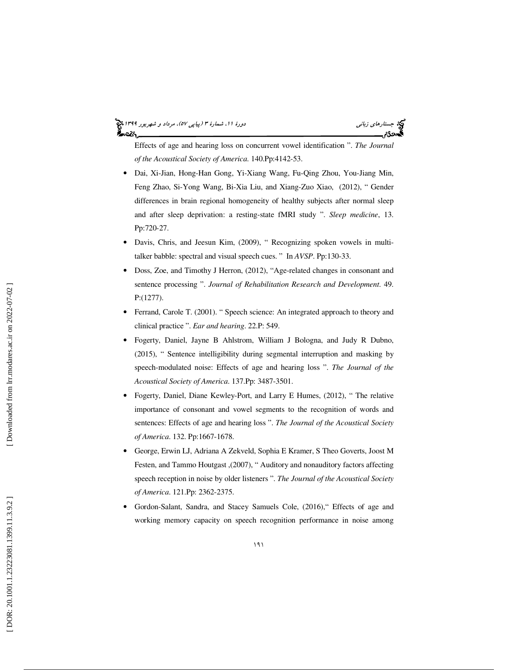# جستارها*ي زباني (هي دورة 1199) ويور 1399) ويور* 11، شمارة ٣ (پياپي ٥٧)، مرد*اد و شهريور 1*391 م

Effects of age and hearing loss on concurrent vowel identification ". *The Journal of the Acoustical Society of America*. 140.Pp:4142-53.

- Dai, Xi-Jian, Hong-Han Gong, Yi-Xiang Wang, Fu-Qing Zhou, You-Jiang Min, Feng Zhao, Si-Yong Wang, Bi-Xia Liu, and Xiang-Zuo Xiao, (2012), " Gender differences in brain regional homogeneity of healthy subjects after normal sleep and after sleep deprivation: a resting-state fMRI study ". *Sleep medicine*, 13. Pp:720-27.
- Davis, Chris, and Jeesun Kim, (2009), " Recognizing spoken vowels in multitalker babble: spectral and visual speech cues. " In *AVSP*. Pp:130-33.
- Doss, Zoe, and Timothy J Herron, (2012), "Age-related changes in consonant and sentence processing ". *Journal of Rehabilitation Research and Development*. 49. P:(1277).
- Ferrand, Carole T. (2001). " Speech science: An integrated approach to theory and clinical practice ". *Ear and hearing*. 22.P: 549.
- Fogerty, Daniel, Jayne B Ahlstrom, William J Bologna, and Judy R Dubno, (2015), " Sentence intelligibility during segmental interruption and masking by speech-modulated noise: Effects of age and hearing loss ". *The Journal of the Acoustical Society of America*. 137.Pp: 3487-3501.
- Fogerty, Daniel, Diane Kewley-Port, and Larry E Humes, (2012), "The relative importance of consonant and vowel segments to the recognition of words and sentences: Effects of age and hearing loss ". *The Journal of the Acoustical Society of America*. 132. Pp:1667-1678.
- George, Erwin LJ, Adriana A Zekveld, Sophia E Kramer, S Theo Goverts, Joost M Festen, and Tammo Houtgast ,(2007), " Auditory and nonauditory factors affecting speech reception in noise by older listeners ". *The Journal of the Acoustical Society of America*. 121.Pp: 2362-2375.
- Gordon-Salant, Sandra, and Stacey Samuels Cole, (2016)," Effects of age and working memory capacity on speech recognition performance in noise among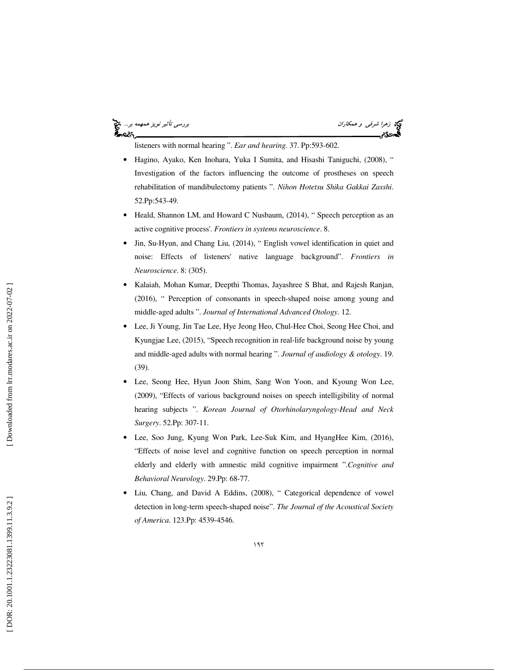بررس*ي تأثير نويز همهمه بر..*.. كان تميز المعالمة بررسي تأثير *نويز همهمه بر...*. كان بررسي تأثير *نويز همهمه بر...*<br>**المجموع من المعالمة بررسي تاريخ المعالمة بررسي تأثير نويز همهم بررسي تأثير نويز همهم بر... كان المعالمة** ક્રિસ્ટર

listeners with normal hearing ". *Ear and hearing*. 37. Pp:593-602.

- Hagino, Ayako, Ken Inohara, Yuka I Sumita, and Hisashi Taniguchi, (2008), " Investigation of the factors influencing the outcome of prostheses on speech rehabilitation of mandibulectomy patients ". *Nihon Hotetsu Shika Gakkai Zasshi*. 52.Pp:543-49.
- Heald, Shannon LM, and Howard C Nusbaum, (2014), "Speech perception as an active cognitive process'. *Frontiers in systems neuroscience*. 8.
- Jin, Su-Hyun, and Chang Liu, (2014), "English vowel identification in quiet and noise: Effects of listeners' native language background". *Frontiers in Neuroscience*. 8: (305).
- Kalaiah, Mohan Kumar, Deepthi Thomas, Jayashree S Bhat, and Rajesh Ranjan, (2016), " Perception of consonants in speech-shaped noise among young and middle-aged adults ". *Journal of International Advanced Otology*. 12.
- Lee, Ji Young, Jin Tae Lee, Hye Jeong Heo, Chul-Hee Choi, Seong Hee Choi, and Kyungjae Lee, (2015), "Speech recognition in real-life background noise by young and middle-aged adults with normal hearing ". *Journal of audiology & otology*. 19. (39).
- Lee, Seong Hee, Hyun Joon Shim, Sang Won Yoon, and Kyoung Won Lee, (2009), "Effects of various background noises on speech intelligibility of normal hearing subjects ". *Korean Journal of Otorhinolaryngology-Head and Neck Surgery*. 52.Pp: 307-11.
- Lee, Soo Jung, Kyung Won Park, Lee-Suk Kim, and HyangHee Kim, (2016), "Effects of noise level and cognitive function on speech perception in normal elderly and elderly with amnestic mild cognitive impairment ".*Cognitive and Behavioral Neurology*. 29.Pp: 68-77.
- Liu, Chang, and David A Eddins, (2008), " Categorical dependence of vowel detection in long-term speech-shaped noise". *The Journal of the Acoustical Society of America*. 123.Pp: 4539-4546.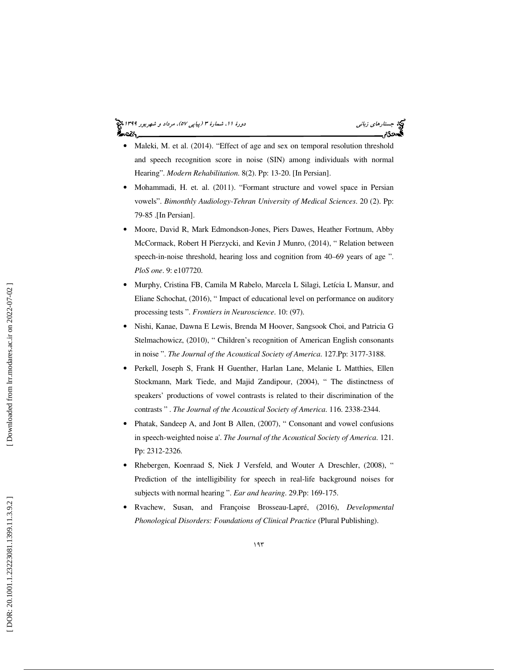# جستارها*ي زباني (هي دورة 1199) ويور 1399) ويور* 11، شمارة ٣ (پياپي ٥٧)، مرد*اد و شهريور 1*391 م

- Maleki, M. et al. (2014). "Effect of age and sex on temporal resolution threshold and speech recognition score in noise (SIN) among individuals with normal Hearing". *Modern Rehabilitation*. 8(2). Pp: 13-20. [In Persian].
- Mohammadi, H. et. al. (2011). "Formant structure and vowel space in Persian vowels". *Bimonthly Audiology-Tehran University of Medical Sciences*. 20 (2). Pp: 79-85 .[In Persian].
- Moore, David R, Mark Edmondson-Jones, Piers Dawes, Heather Fortnum, Abby McCormack, Robert H Pierzycki, and Kevin J Munro, (2014), " Relation between speech-in-noise threshold, hearing loss and cognition from 40–69 years of age ". *PloS one*. 9: e107720.
- Murphy, Cristina FB, Camila M Rabelo, Marcela L Silagi, Letícia L Mansur, and Eliane Schochat, (2016), " Impact of educational level on performance on auditory processing tests ". *Frontiers in Neuroscience*. 10: (97).
- Nishi, Kanae, Dawna E Lewis, Brenda M Hoover, Sangsook Choi, and Patricia G Stelmachowicz, (2010), " Children's recognition of American English consonants in noise ". *The Journal of the Acoustical Society of America*. 127.Pp: 3177-3188.
- Perkell, Joseph S, Frank H Guenther, Harlan Lane, Melanie L Matthies, Ellen Stockmann, Mark Tiede, and Majid Zandipour, (2004), " The distinctness of speakers' productions of vowel contrasts is related to their discrimination of the contrasts " . *The Journal of the Acoustical Society of America*. 116. 2338-2344.
- Phatak, Sandeep A, and Jont B Allen, (2007), " Consonant and vowel confusions in speech-weighted noise a'. *The Journal of the Acoustical Society of America*. 121. Pp: 2312-2326.
- Rhebergen, Koenraad S, Niek J Versfeld, and Wouter A Dreschler, (2008), " Prediction of the intelligibility for speech in real-life background noises for subjects with normal hearing ". *Ear and hearing*. 29.Pp: 169-175.
- Rvachew, Susan, and Françoise Brosseau-Lapré, (2016), *Developmental Phonological Disorders: Foundations of Clinical Practice* (Plural Publishing).